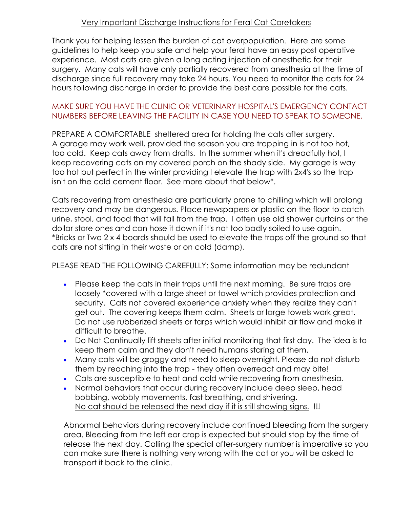# Very Important Discharge Instructions for Feral Cat Caretakers

Thank you for helping lessen the burden of cat overpopulation. Here are some guidelines to help keep you safe and help your feral have an easy post operative experience. Most cats are given a long acting injection of anesthetic for their surgery. Many cats will have only partially recovered from anesthesia at the time of discharge since full recovery may take 24 hours. You need to monitor the cats for 24 hours following discharge in order to provide the best care possible for the cats.

## MAKE SURE YOU HAVE THE CLINIC OR VETERINARY HOSPITAL'S EMERGENCY CONTACT NUMBERS BEFORE LEAVING THE FACILITY IN CASE YOU NEED TO SPEAK TO SOMEONE.

PREPARE A COMFORTABLE sheltered area for holding the cats after surgery. A garage may work well, provided the season you are trapping in is not too hot, too cold. Keep cats away from drafts. In the summer when it's dreadfully hot, I keep recovering cats on my covered porch on the shady side. My garage is way too hot but perfect in the winter providing I elevate the trap with 2x4's so the trap isn't on the cold cement floor. See more about that below\*.

Cats recovering from anesthesia are particularly prone to chilling which will prolong recovery and may be dangerous. Place newspapers or plastic on the floor to catch urine, stool, and food that will fall from the trap. I often use old shower curtains or the dollar store ones and can hose it down if it's not too badly soiled to use again. \*Bricks or Two 2 x 4 boards should be used to elevate the traps off the ground so that cats are not sitting in their waste or on cold (damp).

PLEASE READ THE FOLLOWING CAREFULLY: Some information may be redundant

- Please keep the cats in their traps until the next morning. Be sure traps are loosely \*covered with a large sheet or towel which provides protection and security. Cats not covered experience anxiety when they realize they can't get out. The covering keeps them calm. Sheets or large towels work great. Do not use rubberized sheets or tarps which would inhibit air flow and make it difficult to breathe.
- Do Not Continually lift sheets after initial monitoring that first day. The idea is to keep them calm and they don't need humans staring at them.
- Many cats will be groggy and need to sleep overnight. Please do not disturb them by reaching into the trap - they often overreact and may bite!
- Cats are susceptible to heat and cold while recovering from anesthesia.
- Normal behaviors that occur during recovery include deep sleep, head bobbing, wobbly movements, fast breathing, and shivering. No cat should be released the next day if it is still showing signs. !!!

Abnormal behaviors during recovery include continued bleeding from the surgery area. Bleeding from the left ear crop is expected but should stop by the time of release the next day. Calling the special after-surgery number is imperative so you can make sure there is nothing very wrong with the cat or you will be asked to transport it back to the clinic.